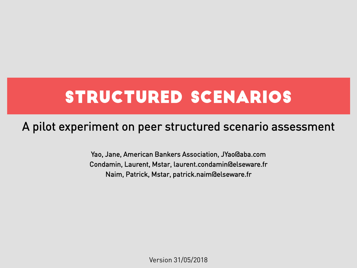# STRUCTURED SCENARIOS

#### A pilot experiment on peer structured scenario assessment

Yao, Jane, American Bankers Association, JYao@aba.com Condamin, Laurent, Mstar, laurent.condamin@elseware.fr Naim, Patrick, Mstar, patrick.naim@elseware.fr

Version 31/05/2018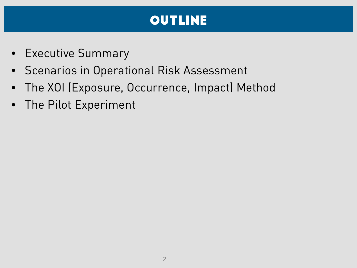### **OUTLINE**

- Executive Summary
- Scenarios in Operational Risk Assessment
- The XOI (Exposure, Occurrence, Impact) Method
- The Pilot Experiment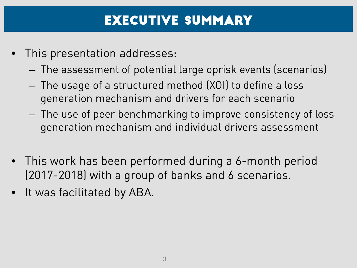#### Executive SUMMARY

- This presentation addresses:
	- The assessment of potential large oprisk events (scenarios)
	- The usage of a structured method (XOI) to define a loss generation mechanism and drivers for each scenario
	- The use of peer benchmarking to improve consistency of loss generation mechanism and individual drivers assessment
- This work has been performed during a 6-month period (2017-2018) with a group of banks and 6 scenarios.
- It was facilitated by ABA.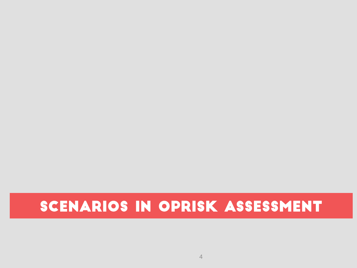# SCENARIOS IN OPRISK ASSESSMENT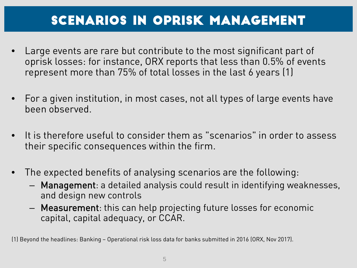### scenarios in oprisk Management

- Large events are rare but contribute to the most significant part of oprisk losses: for instance, ORX reports that less than 0.5% of events represent more than 75% of total losses in the last 6 years (1)
- For a given institution, in most cases, not all types of large events have been observed.
- It is therefore useful to consider them as "scenarios" in order to assess their specific consequences within the firm.
- The expected benefits of analysing scenarios are the following:
	- Management: a detailed analysis could result in identifying weaknesses, and design new controls
	- Measurement: this can help projecting future losses for economic capital, capital adequacy, or CCAR.

(1) Beyond the headlines: Banking – Operational risk loss data for banks submitted in 2016 (ORX, Nov 2017).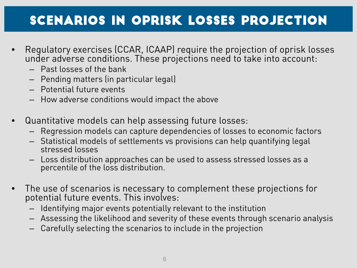#### scenarios in oprisk LOSSES PROJECTION

- Regulatory exercises (CCAR, ICAAP) require the projection of oprisk losses under adverse conditions. These projections need to take into account:
	- Past losses of the bank
	- Pending matters (in particular legal)
	- Potential future events
	- How adverse conditions would impact the above
- Quantitative models can help assessing future losses:
	- Regression models can capture dependencies of losses to economic factors
	- Statistical models of settlements vs provisions can help quantifying legal stressed losses
	- Loss distribution approaches can be used to assess stressed losses as a percentile of the loss distribution.
- The use of scenarios is necessary to complement these projections for potential future events. This involves:
	- Identifying major events potentially relevant to the institution
	- Assessing the likelihood and severity of these events through scenario analysis
	- Carefully selecting the scenarios to include in the projection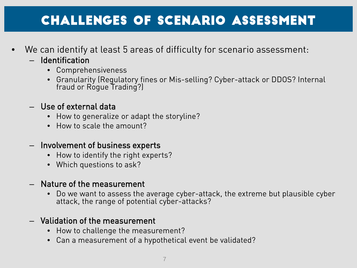#### CHALLENGES of scenario ASSESSMENT

- We can identify at least 5 areas of difficulty for scenario assessment:
	- Identification
		- Comprehensiveness
		- Granularity (Regulatory fines or Mis-selling? Cyber-attack or DDOS? Internal fraud or Rogue Trading?)
	- Use of external data
		- How to generalize or adapt the storyline?
		- How to scale the amount?
	- Involvement of business experts
		- How to identify the right experts?
		- Which questions to ask?
	- Nature of the measurement
		- Do we want to assess the average cyber-attack, the extreme but plausible cyber attack, the range of potential cyber-attacks?
	- Validation of the measurement
		- How to challenge the measurement?
		- Can a measurement of a hypothetical event be validated?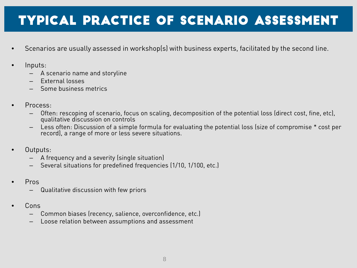### TYPICAL PRACTICE of scenario ASSESSMENT

- Scenarios are usually assessed in workshop(s) with business experts, facilitated by the second line.
- Inputs:
	- A scenario name and storyline
	- External losses
	- Some business metrics
- Process:
	- Often: rescoping of scenario, focus on scaling, decomposition of the potential loss (direct cost, fine, etc), qualitative discussion on controls
	- Less often: Discussion of a simple formula for evaluating the potential loss (size of compromise \* cost per record), a range of more or less severe situations.
- Outputs:
	- A frequency and a severity (single situation)
	- Several situations for predefined frequencies (1/10, 1/100, etc.)
- Pros
	- Qualitative discussion with few priors
- Cons
	- Common biases (recency, salience, overconfidence, etc.)
	- Loose relation between assumptions and assessment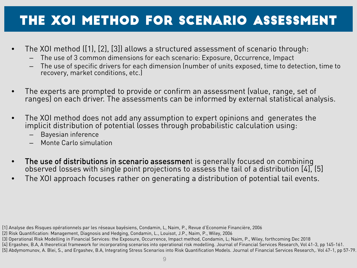### THE XOI Method FOR SCENARIO ASSESSMENT

- The XOI method ([1), [2], [3]) allows a structured assessment of scenario through:
	- The use of 3 common dimensions for each scenario: Exposure, Occurrence, Impact
	- The use of specific drivers for each dimension (number of units exposed, time to detection, time to recovery, market conditions, etc.)
- The experts are prompted to provide or confirm an assessment (value, range, set of ranges) on each driver. The assessments can be informed by external statistical analysis.
- The XOI method does not add any assumption to expert opinions and generates the implicit distribution of potential losses through probabilistic calculation using:
	- Bayesian inference
	- Monte Carlo simulation
- The use of distributions in scenario assessment is generally focused on combining observed losses with single point projections to assess the tail of a distribution [4], [5]
- The XOI approach focuses rather on generating a distribution of potential tail events.

<sup>[1]</sup> Analyse des Risques opérationnels par les réseaux bayésiens, Condamin, L, Naim, P., Revue d'Economie Financière, 2006

<sup>[2)</sup> Risk Quantification: Management, Diagnosis and Hedging, Condamin, L., Louisot, J.P., Naim, P., Wiley, 2006

<sup>(3)</sup> Operational Risk Modelling in Financial Services: the Exposure, Occurrence, Impact method, Condamin, L; Naim, P., Wiley, forthcoming Dec 2018

<sup>[4]</sup> Ergashev, B.A, A theoretical framework for incorporating scenarios into operational risk modelling. Journal of Financial Services Research, Vol 41-3, pp 145-161. [5] Abdymomunov, A. Blei, S., and Ergashev, B.A, Integrating Stress Scenarios into Risk Quantification Models. Journal of Financial Services Research,. Vol 47-1, pp 57-79.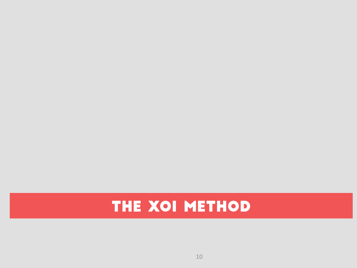# THE XOI METHOD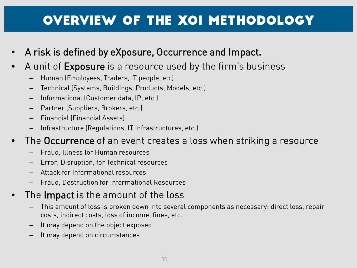### Overview of the XOI methodology

- A risk is defined by eXposure, Occurrence and Impact.
- A unit of Exposure is a resource used by the firm's business
	- Human (Employees, Traders, IT people, etc)
	- Technical (Systems, Buildings, Products, Models, etc.)
	- Informational (Customer data, IP, etc.)
	- Partner (Suppliers, Brokers, etc.)
	- Financial (Financial Assets)
	- Infrastructure (Regulations, IT infrastructures, etc.)
- The Occurrence of an event creates a loss when striking a resource
	- Fraud, Illness for Human resources
	- Error, Disruption, for Technical resources
	- Attack for Informational resources
	- Fraud, Destruction for Informational Resources
- The Impact is the amount of the loss
	- This amount of loss is broken down into several components as necessary: direct loss, repair costs, indirect costs, loss of income, fines, etc.
	- It may depend on the object exposed
	- It may depend on circumstances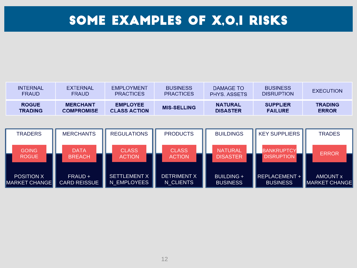### SOME EXAMPLES OF X,O,I RISKS

| <b>INTERNAL</b> | <b>EXTERNAL</b>   | <b>EMPLOYMENT</b>   | <b>BUSINESS</b>    | DAMAGE TO          | <b>BUSINESS</b>   | <b>EXECUTION</b> |
|-----------------|-------------------|---------------------|--------------------|--------------------|-------------------|------------------|
| <b>FRAUD</b>    | <b>FRAUD</b>      | <b>PRACTICES</b>    | <b>PRACTICES</b>   | <b>PHYS ASSETS</b> | <b>DISRUPTION</b> |                  |
| <b>ROGUE</b>    | <b>MERCHANT</b>   | <b>EMPLOYEE</b>     | <b>MIS-SELLING</b> | <b>NATURAL</b>     | <b>SUPPLIER</b>   | <b>TRADING</b>   |
| <b>TRADING</b>  | <b>COMPROMISE</b> | <b>CLASS ACTION</b> |                    | <b>DISASTER</b>    | <b>FAILURE</b>    | <b>ERROR</b>     |

| <b>TRADERS</b>                            | <b>MERCHANTS</b>               | <b>REGULATIONS</b>                 | <b>PRODUCTS</b>                 | <b>BUILDINGS</b>                     | <b>KEY SUPPLIERS</b>                                      | <b>TRADES</b>                    |
|-------------------------------------------|--------------------------------|------------------------------------|---------------------------------|--------------------------------------|-----------------------------------------------------------|----------------------------------|
| <b>GOING</b>                              | <b>DATA</b>                    | <b>CLASS</b>                       | <b>CLASS</b>                    | <b>NATURAL</b>                       | <b>BANKRUPTCY</b>                                         | <b>ERROR</b>                     |
| <b>ROGUE</b>                              | <b>BREACH</b>                  | <b>ACTION</b>                      | <b>ACTION</b>                   | <b>DISASTER</b>                      | <b>DISRUPTION</b>                                         |                                  |
| <b>POSITION X</b><br><b>MARKET CHANGE</b> | FRAUD +<br><b>CARD REISSUE</b> | <b>SETTLEMENT X</b><br>N EMPLOYEES | <b>DETRIMENT X</b><br>N CLIENTS | <b>BUILDING +</b><br><b>BUSINESS</b> | $\overline{\phantom{a}}$ REPLACEMENT +<br><b>BUSINESS</b> | <b>AMOUNT x</b><br>MARKET CHANGE |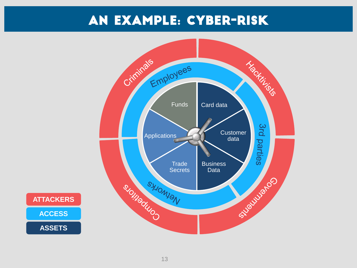#### An example: Cyber-Risk



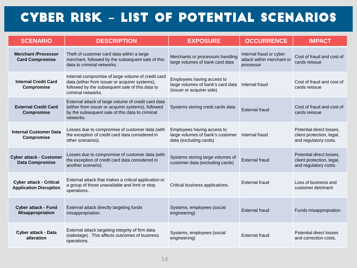#### Cyber Risk **–** List of Potential Scenarios

| <b>SCENARIO</b>                                                 | <b>DESCRIPTION</b>                                                                                                                                                            | <b>EXPOSURE</b>                                                                              | <b>OCCURRENCE</b>                                                 | <b>IMPACT</b>                                                                  |
|-----------------------------------------------------------------|-------------------------------------------------------------------------------------------------------------------------------------------------------------------------------|----------------------------------------------------------------------------------------------|-------------------------------------------------------------------|--------------------------------------------------------------------------------|
| <b>Merchant /Processor</b><br><b>Card Compromise</b>            | Theft of customer card data within a large<br>merchant, followed by the subsequent sale of this<br>data to criminal networks.                                                 | Merchants or processors handling<br>large volumes of bank card data                          | Internal fraud or cyber<br>attack within merchant or<br>processor | Cost of fraud and cost of<br>cards reissue                                     |
| <b>Internal Credit Card</b><br>Compromise                       | Internal compromise of large volume of credit card<br>data (either from issuer or acquirer systems),<br>followed by the subsequent sale of this data to<br>criminal networks. | Employees having access to<br>large volumes of bank's card data<br>(issuer or acquirer side) | Internal fraud                                                    | Cost of fraud and cost of<br>cards reissue                                     |
| <b>External Credit Card</b><br>Compromise                       | External attack of large volume of credit card data<br>(either from issuer or acquirer systems), followed<br>by the subsequent sale of this data to criminal<br>networks.     | Systems storing credt cards data                                                             | External fraud                                                    | Cost of fraud and cost of<br>cards reissue                                     |
| <b>Internal Customer Data</b><br>Compromise                     | Losses due to compromise of customer data (with<br>the exception of credit card data considered in<br>other scenarios).                                                       | Employees having access to<br>large volumes of bank's customer<br>data (excluding cards)     | Internal fraud                                                    | Potential direct losses.<br>client protection, legal,<br>and regulatory costs. |
| <b>Cyber attack - Customer</b><br><b>Data Compromise</b>        | Losses due to compromise of customer data (with<br>the exception of credit card data considered in<br>another scenario).                                                      | Systems storing large volumes of<br>customer data (excluding cards)                          | <b>External fraud</b>                                             | Potential direct losses,<br>client protection, legal,<br>and regulatory costs. |
| <b>Cyber attack - Critical</b><br><b>Application Disruption</b> | External attack that makes a critical application or<br>a group of those unavailable and limit or stop<br>operations                                                          | Critical business applications.                                                              | External fraud                                                    | Loss of business and<br>customer detriment                                     |
| <b>Cyber attack - Fund</b><br><b>Misappropriation</b>           | External attack directly targeting funds<br>misappropriation.                                                                                                                 | Systems, employees (social<br>engineering)                                                   | <b>External fraud</b>                                             | Funds misappropration                                                          |
| Cyber attack - Data<br>alteration                               | External attack targeting integrity of firm data<br>(sabotage). This affects outcomes of business<br>operations.                                                              | Systems, employees (social<br>engineering)                                                   | External fraud                                                    | Potential direct losses<br>and correction costs.                               |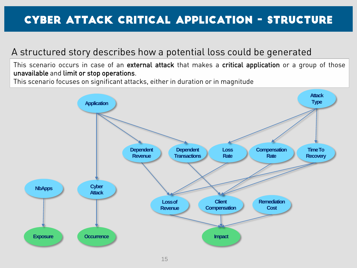#### Cyber Attack Critical Application - Structure

#### A structured story describes how a potential loss could be generated

This scenario occurs in case of an external attack that makes a critical application or a group of those unavailable and limit or stop operations.

This scenario focuses on significant attacks, either in duration or in magnitude

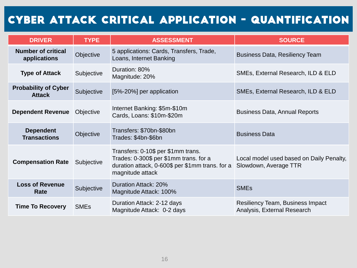#### Cyber Attack Critical Application - Quantification

| <b>DRIVER</b>                                | <b>TYPE</b>            | <b>ASSESSMENT</b>                                                                                                                                   | <b>SOURCE</b>                                                          |  |
|----------------------------------------------|------------------------|-----------------------------------------------------------------------------------------------------------------------------------------------------|------------------------------------------------------------------------|--|
| <b>Number of critical</b><br>applications    | Objective              | 5 applications: Cards, Transfers, Trade,<br>Loans, Internet Banking                                                                                 | <b>Business Data, Resiliency Team</b>                                  |  |
| <b>Type of Attack</b>                        | Subjective             | Duration: 80%<br>Magnitude: 20%                                                                                                                     | SMEs, External Research, ILD & ELD                                     |  |
| <b>Probability of Cyber</b><br><b>Attack</b> | Subjective             | [5%-20%] per application                                                                                                                            | SMEs, External Research, ILD & ELD                                     |  |
| <b>Dependent Revenue</b>                     | Objective              | Internet Banking: \$5m-\$10m<br>Cards, Loans: \$10m-\$20m                                                                                           | <b>Business Data, Annual Reports</b>                                   |  |
| <b>Dependent</b><br><b>Transactions</b>      | Objective              | Transfers: \$70bn-\$80bn<br>Trades: \$4bn-\$6bn                                                                                                     | <b>Business Data</b>                                                   |  |
| <b>Compensation Rate</b>                     | Subjective             | Transfers: 0-10\$ per \$1mm trans.<br>Trades: 0-300\$ per \$1mm trans. for a<br>duration attack, 0-600\$ per \$1mm trans. for a<br>magnitude attack | Local model used based on Daily Penalty,<br>Slowdown, Average TTR      |  |
| <b>Loss of Revenue</b><br>Rate               | Subjective             | Duration Attack: 20%<br>Magnitude Attack: 100%                                                                                                      | <b>SME<sub>s</sub></b>                                                 |  |
| <b>Time To Recovery</b>                      | <b>SME<sub>s</sub></b> | Duration Attack: 2-12 days<br>Magnitude Attack: 0-2 days                                                                                            | <b>Resiliency Team, Business Impact</b><br>Analysis, External Research |  |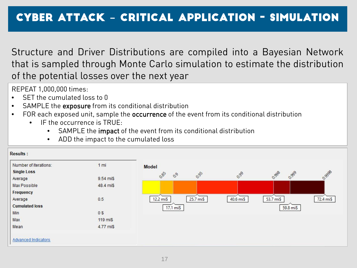Structure and Driver Distributions are compiled into a Bayesian Network that is sampled through Monte Carlo simulation to estimate the distribution of the potential losses over the next year

REPEAT 1,000,000 times:

- SET the cumulated loss to 0
- SAMPLE the exposure from its conditional distribution
- FOR each exposed unit, sample the occurrence of the event from its conditional distribution
	- IF the occurrence is TRUE:
		- SAMPLE the impact of the event from its conditional distribution
		- ADD the impact to the cumulated loss

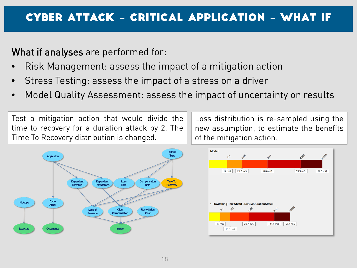What if analyses are performed for:

- Risk Management: assess the impact of a mitigation action
- Stress Testing: assess the impact of a stress on a driver
- Model Quality Assessment: assess the impact of uncertainty on results

Test a mitigation action that would divide the time to recovery for a duration attack by 2. The Time To Recovery distribution is changed.

Loss distribution is re-sampled using the new assumption, to estimate the benefits of the mitigation action.



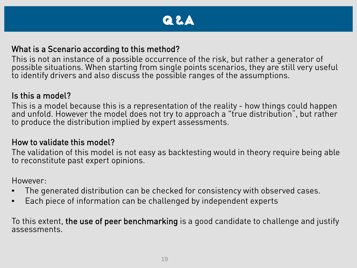#### Q&a

#### What is a Scenario according to this method?

This is not an instance of a possible occurrence of the risk, but rather a generator of possible situations. When starting from single points scenarios, they are still very useful to identify drivers and also discuss the possible ranges of the assumptions.

#### Is this a model?

This is a model because this is a representation of the reality - how things could happen<br>and unfold. However the model does not try to approach a "true distribution", but rather to produce the distribution implied by expert assessments.

#### How to validate this model?

The validation of this model is not easy as backtesting would in theory require being able to reconstitute past expert opinions.

However:

- The generated distribution can be checked for consistency with observed cases.
- Each piece of information can be challenged by independent experts

To this extent, the use of peer benchmarking is a good candidate to challenge and justify assessments.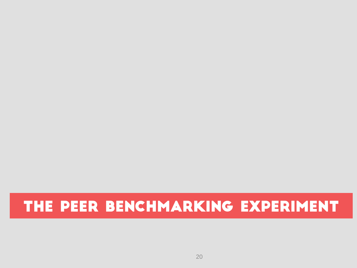## THE PEER BENCHMARKING EXPERIMENT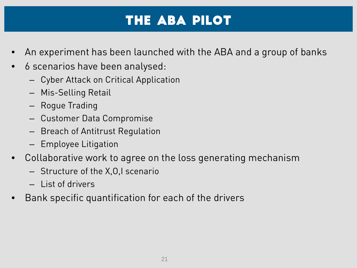### The ABA PILOT

- An experiment has been launched with the ABA and a group of banks
- 6 scenarios have been analysed:
	- Cyber Attack on Critical Application
	- Mis-Selling Retail
	- Rogue Trading
	- Customer Data Compromise
	- Breach of Antitrust Regulation
	- Employee Litigation
- Collaborative work to agree on the loss generating mechanism
	- Structure of the X,O,I scenario
	- List of drivers
- Bank specific quantification for each of the drivers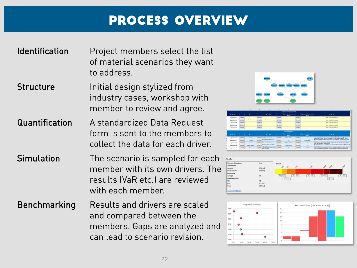#### Process overview

#### Identification Project members select the list of material scenarios they want to address.

- Structure **Initial design stylized from** industry cases, workshop with member to review and agree.
- Quantification A standardized Data Request form is sent to the members to collect the data for each driver.
- Simulation The scenario is sampled for each member with its own drivers. The results (VaR etc.) are reviewed with each member.
- Benchmarking Results and drivers are scaled and compared between the members. Gaps are analyzed and can lead to scenario revision.